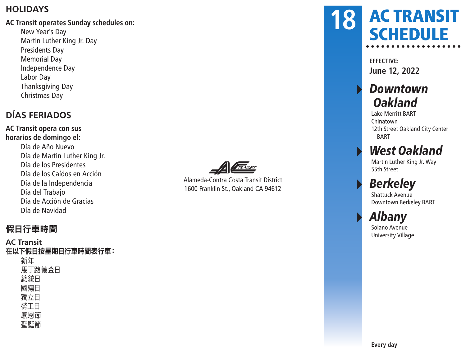#### **HOLIDAYS**

#### **AC Transit operates Sunday schedules on:**

New Year's Day Martin Luther King Jr. Day Presidents Day Memorial Day Independence Day Labor Day Thanksgiving Day Christmas Day

#### **DÍAS FERIADOS**

**AC Transit opera con sus horarios de domingo el:** Día de Año Nuevo Día de Martin Luther King Jr. Día de los Presidentes Día de los Caídos en Acción Día de la Independencia Día del Trabajo Día de Acción de Gracias Día de Navidad



Alameda-Contra Costa Transit District 1600 Franklin St., Oakland CA 94612

### AC TRANSIT **SCHEDULE 18**

**EFFECTIVE: June 12, 2022**

### **Downtown Oakland**

Lake Merritt BART Chinatown 12th Street Oakland City Center BART

### **West Oakland**

Martin Luther King Jr. Way 55th Street

## **Berkeley**

Shattuck Avenue Downtown Berkeley BART

### ▸ Albany

Solano Avenue University Village

假日行車時間

#### **AC Transit** 在以下假日按星期日行車時間表行車: 新年 馬丁路德金日 總統日 國殤日 獨立日 勞工日 感恩節 聖誕節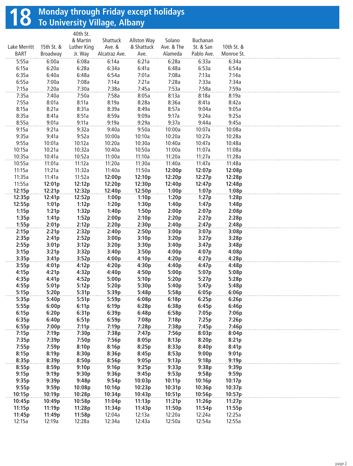# **18** Monday through Friday except holidays<br> **18** To University Village, Albany

|                |                | 40th St.       |               |                    |                |            |            |  |
|----------------|----------------|----------------|---------------|--------------------|----------------|------------|------------|--|
|                |                | & Martin       | Shattuck      | <b>Allston Way</b> | Solano         | Buchanan   |            |  |
| Lake Merritt   | 15th St. &     | Luther King    | Ave. &        | & Shattuck         | Ave. & The     | St. & San  | 10th St. & |  |
| <b>BART</b>    | Broadway       | Jr. Way        | Alcatraz Ave. | Ave.               | Alameda        | Pablo Ave. | Monroe St. |  |
| 5:55a          | 6:00a          | 6:08a          | 6:14a         | 6:21a              | 6:28a          | 6:33a      | 6:34a      |  |
| 6:15a          | 6:20a          | 6:28a          | 6:34a         | 6:41a              | 6:48a          | 6:53a      | 6:54a      |  |
| 6:35a          | 6:40a          | 6:48a          | 6:54a         | 7:01a              | 7:08a          | 7:13a      | 7:14a      |  |
| 6:55a          | 7:00a          | 7:08a          | 7:14a         | 7:21a              | 7:28a          | 7:33a      | 7:34a      |  |
| 7:15a          | 7:20a          | 7:30a          | 7:38a         | 7:45a              | 7:53a          | 7:58a      | 7:59a      |  |
| 7:35a          | 7:40a          | 7:50a          | 7:58a         | 8:05a              | 8:13a          | 8:18a      | 8:19a      |  |
| 7:55a          | 8:01a          | 8:11a          | 8:19a         | 8:28a              | 8:36a          | 8:41a      | 8:42a      |  |
| 8:15a          | 8:21a          | 8:31a          | 8:39a         | 8:49a              | 8:57a          | 9:04a      | 9:05a      |  |
| 8:35a          | 8:41a          | 8:51a          | 8:59a         | 9:09a              | 9:17a          | 9:24a      | 9:25a      |  |
| 8:55a          | 9:01a          | 9:11a          | 9:19a         | 9:29a              | 9:37a          | 9:44a      | 9:45a      |  |
| 9:15a          | 9:21a          | 9:32a          | 9:40a         | 9:50a              | 10:00a         | 10:07a     | 10:08a     |  |
| 9:35a          | 9:41a          | 9:52a          | 10:00a        | 10:10a             | 10:20a         | 10:27a     | 10:28a     |  |
| 9:55a          | 10:01a         | 10:12a         | 10:20a        | 10:30a             | 10:40a         | 10:47a     | 10:48a     |  |
| 10:15a         | 10:21a         | 10:32a         | 10:40a        | 10:50a             | 11:00a         | 11:07a     | 11:08a     |  |
| 10:35a         | 10:41a         | 10:52a         | 11:00a        | 11:10a             | 11:20a         | 11:27a     | 11:28a     |  |
| 10:55a         | 11:01a         | 11:12a         | 11:20a        | 11:30a             | 11:40a         | 11:47a     | 11:48a     |  |
| 11:15a         | 11:21a         | 11:32a         | 11:40a        | 11:50a             | 12:00p         | 12:07p     | 12:08p     |  |
| 11:35a         | 11:41a         | 11:52a         | 12:00p        | 12:10p             | 12:20p         | 12:27p     | 12:28p     |  |
| 11:55a         | 12:01p         | 12:12p         | 12:20p        | 12:30p             | 12:40p         | 12:47p     | 12:48p     |  |
| 12:15p         | 12:21p         | 12:32p         | 12:40p        | 12:50p             | 1:00p          | 1:07p      | 1:08p      |  |
| 12:35p         | 12:41p         | 12:52p         | 1:00p         | 1:10p              | 1:20p          | 1:27p      | 1:28p      |  |
| 12:55p         | 1:01p          | 1:12p          | 1:20p         | 1:30p              | 1:40p          | 1:47p      | 1:48p      |  |
| 1:15p          | 1:21p          | 1:32p          | 1:40p         | 1:50p              | 2:00p          | 2:07p      | 2:08p      |  |
| 1:35p          | 1:41p          | 1:52p          | 2:00p         | 2:10p              | 2:20p          | 2:27p      | 2:28p      |  |
| 1:55p          | 2:01p          | 2:12p          | 2:20p         | 2:30p              | 2:40p          | 2:47p      | 2:48p      |  |
| 2:15p          | 2:21p          | 2:32p          | 2:40p         | 2:50p              | 3:00p          | 3:07p      | 3:08p      |  |
| 2:35p          | 2:41p          | 2:52p          | 3:00p         | 3:10p              | 3:20p          | 3:27p      | 3:28p      |  |
| 2:55p          | 3:01p          | 3:12p          | 3:20p         | 3:30p              | 3:40p          | 3:47p      | 3:48p      |  |
| 3:15p          | 3:21p          | 3:32p          | 3:40p         | 3:50p              | 4:00p          | 4:07p      | 4:08p      |  |
| 3:35p          | 3:41p          | 3:52p          | 4:00p         | 4:10p              | 4:20p          | 4:27p      | 4:28p      |  |
| 3:55p          | 4:01p          | 4:12p          | 4:20p         | 4:30p              | 4:40p          | 4:47p      | 4:48p      |  |
| 4:15p          | 4:21p          | 4:32p          | 4:40p         | 4:50p              | 5:00p          | 5:07p      | 5:08p      |  |
| 4:35p          | 4:41p          | 4:52p          | 5:00p         | 5:10p              | 5:20p          | 5:27p      | 5:28p      |  |
| 4:55p          | 5:01p          | 5:12p          | 5:20p         | 5:30p              | 5:40p          | 5:47p      | 5:48p      |  |
| 5:15p          | 5:20p          | 5:31p          | 5:39p         | 5:48p              | 5:58p          | 6:05p      | 6:06p      |  |
| 5:35p          | 5:40p          | 5:51p          | 5:59p         | 6:08p              | 6:18p          | 6:25p      | 6:26p      |  |
| 5:55p          | 6:00p          | 6:11p          | 6:19p         | 6:28p              | 6:38p          | 6:45p      | 6:46p      |  |
| 6:15p          | 6:20p          |                | 6:39p         |                    |                | 7:05p      | 7:06p      |  |
| 6:35p          | 6:40p          | 6:31p<br>6:51p | 6:59p         | 6:48p<br>7:08p     | 6:58p<br>7:18p | 7:25p      | 7:26p      |  |
| 6:55p          | 7:00p          | 7:11p          | 7:19p         | 7:28p              | 7:38p          | 7:45p      | 7:46p      |  |
| 7:15p          | 7:19p          | 7:30p          | 7:38p         | 7:47p              | 7:56p          | 8:03p      | 8:04p      |  |
| 7:35p          | 7:39p          | 7:50p          | 7:56p         | 8:05p              | 8:13p          | 8:20p      | 8:21p      |  |
| 7:55p          | 7:59p          | 8:10p          | 8:16p         | 8:25p              | 8:33p          | 8:40p      | 8:41p      |  |
| 8:15p          | 8:19p          | 8:30p          | 8:36p         | 8:45p              | 8:53p          | 9:00p      | 9:01p      |  |
| 8:35p          | 8:39p          | 8:50p          | 8:56p         | 9:05p              | 9:13p          | 9:18p      | 9:19p      |  |
|                |                | 9:10p          | 9:16p         |                    |                | 9:38p      | 9:39p      |  |
| 8:55p<br>9:15p | 8:59p<br>9:19p | 9:30p          | 9:36p         | 9:25p<br>9:45p     | 9:33p<br>9:53p | 9:58p      | 9:59p      |  |
| 9:35p          | 9:39p          | 9:48p          | 9:54p         | 10:03p             | 10:11p         | 10:16p     | 10:17p     |  |
| 9:55p          | 9:59p          | 10:08p         | 10:14p        | 10:23p             | 10:31p         | 10:36p     | 10:37p     |  |
|                |                |                |               |                    |                | 10:56p     | 10:57p     |  |
| 10:15p         | 10:19p         | 10:28p         | 10:34p        | 10:43p             | 10:51p         |            |            |  |
| 10:45p         | 10:49p         | 10:58p         | 11:04p        | 11:13p             | 11:21p         | 11:26p     | 11:27p     |  |
| 11:15p         | 11:19p         | 11:28p         | 11:34p        | 11:43p<br>12:13a   | 11:50p         | 11:54p     | 11:55p     |  |
| 11:45p         | 11:49p         | 11:58p         | 12:04a        |                    | 12:20a         | 12:24a     | 12:25a     |  |
| 12:15a         | 12:19a         | 12:28a         | 12:34a        | 12:43a             | 12:50a         | 12:54a     | 12:55a     |  |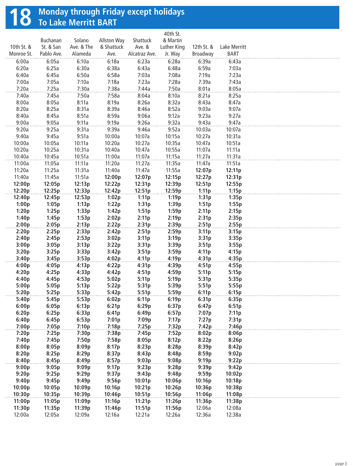# **18** Monday through Friday except holidays<br> **18** To Lake Merritt BART

|                |                |                |                    |                | 40th St.       |                |                |  |
|----------------|----------------|----------------|--------------------|----------------|----------------|----------------|----------------|--|
|                | Buchanan       | Solano         | <b>Allston Way</b> | Shattuck       | & Martin       |                |                |  |
| 10th St. &     | St. & San      | Ave. & The     | & Shattuck         | Ave. &         | Luther King    | 12th St. &     | Lake Merritt   |  |
| Monroe St.     | Pablo Ave.     | Alameda        | Ave.               | Alcatraz Ave.  | Jr. Way        | Broadway       | <b>BART</b>    |  |
| 6:00a          | 6:05a          | 6:10a          | 6:18a              | 6:23a          | 6:28a          | 6:39a          | 6:43a          |  |
| 6:20a          | 6:25a          | 6:30a          | 6:38a              | 6:43a          | 6:48a          | 6:59a          | 7:03a          |  |
| 6:40a          | 6:45a          | 6:50a          | 6:58a              | 7:03a          | 7:08a          | 7:19a          | 7:23a          |  |
| 7:00a          | 7:05a          | 7:10a          | 7:18a              | 7:23a          | 7:28a          | 7:39a          | 7:43a          |  |
| 7:20a          | 7:25a          | 7:30a          | 7:38a              | 7:44a          | 7:50a          | 8:01a          | 8:05a          |  |
| 7:40a          | 7:45a          | 7:50a          | 7:58a              | 8:04a          | 8:10a          | 8:21a          | 8:25a          |  |
| 8:00a          | 8:05a          | 8:11a          | 8:19a              | 8:26a          | 8:32a          | 8:43a          | 8:47a          |  |
| 8:20a          | 8:25a          | 8:31a          | 8:39a              | 8:46a          | 8:52a          | 9:03a          | 9:07a          |  |
| 8:40a          | 8:45a          | 8:51a          | 8:59a              | 9:06a          | 9:12a          | 9:23a          | 9:27a          |  |
| 9:00a          | 9:05a          | 9:11a          | 9:19a              | 9:26a          | 9:32a          | 9:43a          | 9:47a          |  |
| 9:20a          | 9:25a          | 9:31a          | 9:39a              | 9:46a          | 9:52a          | 10:03a         | 10:07a         |  |
| 9:40a          | 9:45a          | 9:51a          | 10:00a             | 10:07a         | 10:15a         | 10:27a         | 10:31a         |  |
| 10:00a         | 10:05a         | 10:11a         | 10:20a             | 10:27a         | 10:35a         | 10:47a         | 10:51a         |  |
| 10:20a         | 10:25a         | 10:31a         | 10:40a             | 10:47a         | 10:55a         | 11:07a         | 11:11a         |  |
| 10:40a         | 10:45a         | 10:51a         | 11:00a             | 11:07a         | 11:15a         | 11:27a         | 11:31a         |  |
| 11:00a         | 11:05a         | 11:11a         | 11:20a             | 11:27a         | 11:35a         | 11:47a         | 11:51a         |  |
| 11:20a         | 11:25a         | 11:31a         | 11:40a             | 11:47a         | 11:55a         | 12:07p         | 12:11p         |  |
| 11:40a         | 11:45a         | 11:51a         | 12:00p             | 12:07p         | 12:15p         | 12:27p         | 12:31p         |  |
| 12:00p         | 12:05p         | 12:13p         | 12:22p             | 12:31p         | 12:39p         | 12:51p         | 12:55p         |  |
| 12:20p         | 12:25p         | 12:33p         | 12:42p             | 12:51p         | 12:59p         | 1:11p          | 1:15p          |  |
| 12:40p         | 12:45p         | 12:53p         | 1:02p              | 1:11p          | 1:19p          | 1:31p          | 1:35p          |  |
| 1:00p          | 1:05p          | 1:13p          | 1:22p              | 1:31p          | 1:39p          | 1:51p          | 1:55p          |  |
| 1:20p          | 1:25p          | 1:33p          | 1:42p              | 1:51p          | 1:59p          | 2:11p          | 2:15p          |  |
| 1:40p          | 1:45p          | 1:53p          | 2:02p              | 2:11p          | 2:19p          | 2:31p          | 2:35p          |  |
| 2:00p          | 2:05p          | 2:13p          | 2:22p              | 2:31p          | 2:39p          | 2:51p          | 2:55p          |  |
| 2:20p          | 2:25p          | 2:33p          | 2:42p              | 2:51p          | 2:59p          | 3:11p          | 3:15p          |  |
| 2:40p          | 2:45p          | 2:53p          | 3:02p              | 3:11p          | 3:19p          | 3:31p          | 3:35p          |  |
| 3:00p          | 3:05p          | 3:13p          | 3:22p              | 3:31p          | 3:39p          | 3:51p          | 3:55p          |  |
| 3:20p          | 3:25p          | 3:33p          | 3:42p              | 3:51p          | 3:59p          | 4:11p          | 4:15p          |  |
| 3:40p          | 3:45p          | 3:53p          | 4:02p              | 4:11p          | 4:19p          | 4:31p          | 4:35p          |  |
| 4:00p          | 4:05p          | 4:13p          | 4:22p              | 4:31p          | 4:39p          | 4:51p          | 4:55p          |  |
| 4:20p          | 4:25p          | 4:33p          | 4:42p              | 4:51p          | 4:59p          | 5:11p          | 5:15p          |  |
| 4:40p          | 4:45p          | 4:53p          | 5:02p              | 5:11p          | 5:19p          | 5:31p          | 5:35p          |  |
| 5:00p<br>5:20p | 5:05p          | 5:13p          | 5:22p              | 5:31p          | 5:39p          | 5:51p          | 5:55p<br>6:15p |  |
|                | 5:25p          | 5:33p          | 5:42p              | 5:51p          | 5:59p          | 6:11p          |                |  |
| 5:40p          | 5:45p          | 5:53p          | 6:02p              | 6:11p          | 6:19p          | 6:31p          | 6:35p          |  |
| 6:00p          | 6:05p          | 6:13p          | 6:21p              | 6:29p          | 6:37p          | 6:47p          | 6:51p          |  |
| 6:20p          | 6:25p          | 6:33p          | 6:41p              | 6:49p          | 6:57p          | 7:07p          | 7:11p          |  |
| 6:40p<br>7:00p | 6:45p<br>7:05p | 6:53p<br>7:10p | 7:01p<br>7:18p     | 7:09p<br>7:25p | 7:17p<br>7:32p | 7:27p<br>7:42p | 7:31p<br>7:46p |  |
|                |                |                |                    |                |                |                |                |  |
| 7:20p<br>7:40p | 7:25p          | 7:30p<br>7:50p | 7:38p<br>7:58p     | 7:45p<br>8:05p | 7:52p          | 8:02p<br>8:22p | 8:06p          |  |
| 8:00p          | 7:45p<br>8:05p | 8:09p          | 8:17p              | 8:23p          | 8:12p<br>8:28p | 8:39p          | 8:26p<br>8:42p |  |
| 8:20p          | 8:25p          | 8:29p          | 8:37p              | 8:43p          | 8:48p          | 8:59p          | 9:02p          |  |
| 8:40p          | 8:45p          | 8:49p          | 8:57p              | 9:03p          | 9:08p          | 9:19p          | 9:22p          |  |
| 9:00p          |                | 9:09p          | 9:17p              |                | 9:28p          | 9:39p          | 9:42p          |  |
| 9:20p          | 9:05p<br>9:25p | 9:29p          | 9:37p              | 9:23p<br>9:43p | 9:48p          | 9:59p          | 10:02p         |  |
| 9:40p          | 9:45p          | 9:49p          | 9:56p              | 10:01p         | 10:06p         | 10:16p         | 10:18p         |  |
| 10:00p         | 10:05p         | 10:09p         | 10:16p             | 10:21p         | 10:26p         | 10:36p         | 10:38p         |  |
| 10:30p         | 10:35p         | 10:39p         | 10:46p             | 10:51p         | 10:56p         | 11:06p         | 11:08p         |  |
| 11:00p         | 11:05p         | 11:09p         | 11:16p             | 11:21p         | 11:26p         | 11:36p         | 11:38p         |  |
| 11:30p         | 11:35p         | 11:39p         | 11:46p             | 11:51p         | 11:56p         | 12:06a         | 12:08a         |  |
| 12:00a         | 12:05a         | 12:09a         | 12:16a             | 12:21a         | 12:26a         | 12:36a         | 12:38a         |  |
|                |                |                |                    |                |                |                |                |  |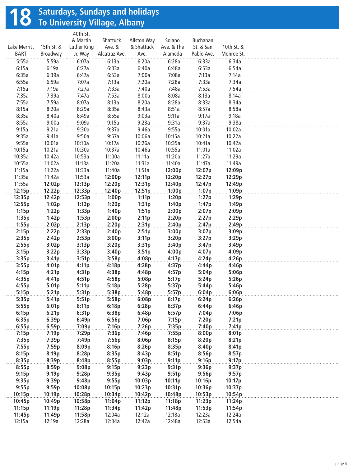## **18** Saturdays, Sundays and holidays<br> **18** To University Village, Albany

|              |            | 40th St.    |               |             |            |            |            |  |
|--------------|------------|-------------|---------------|-------------|------------|------------|------------|--|
|              |            | & Martin    | Shattuck      | Allston Way | Solano     | Buchanan   |            |  |
| Lake Merritt | 15th St. & | Luther King | Ave. &        | & Shattuck  | Ave. & The | St. & San  | 10th St. & |  |
| <b>BART</b>  | Broadway   | Jr. Way     | Alcatraz Ave. | Ave.        | Alameda    | Pablo Ave. | Monroe St. |  |
| 5:55a        | 5:59a      | 6:07a       | 6:13a         | 6:20a       | 6:28a      | 6:33a      | 6:34a      |  |
| 6:15a        | 6:19a      | 6:27a       | 6:33a         | 6:40a       | 6:48a      | 6:53a      | 6:54a      |  |
| 6:35a        | 6:39a      | 6:47a       | 6:53a         | 7:00a       | 7:08a      | 7:13a      | 7:14a      |  |
| 6:55a        | 6:59a      | 7:07a       | 7:13a         | 7:20a       | 7:28a      | 7:33a      | 7:34a      |  |
| 7:15a        | 7:19a      | 7:27a       | 7:33a         | 7:40a       | 7:48a      | 7:53a      | 7:54a      |  |
| 7:35a        | 7:39a      | 7:47a       | 7:53a         | 8:00a       | 8:08a      | 8:13a      | 8:14a      |  |
| 7:55a        | 7:59a      | 8:07a       | 8:13a         | 8:20a       | 8:28a      | 8:33a      | 8:34a      |  |
| 8:15a        | 8:20a      | 8:29a       | 8:35a         | 8:43a       | 8:51a      | 8:57a      | 8:58a      |  |
| 8:35a        | 8:40a      | 8:49a       | 8:55a         | 9:03a       | 9:11a      | 9:17a      | 9:18a      |  |
| 8:55a        | 9:00a      | 9:09a       | 9:15a         | 9:23a       | 9:31a      | 9:37a      | 9:38a      |  |
| 9:15a        | 9:21a      | 9:30a       | 9:37a         | 9:46a       | 9:55a      | 10:01a     | 10:02a     |  |
| 9:35a        | 9:41a      | 9:50a       | 9:57a         | 10:06a      | 10:15a     | 10:21a     | 10:22a     |  |
| 9:55a        | 10:01a     | 10:10a      | 10:17a        | 10:26a      | 10:35a     | 10:41a     | 10:42a     |  |
| 10:15a       | 10:21a     | 10:30a      | 10:37a        | 10:46a      | 10:55a     | 11:01a     | 11:02a     |  |
| 10:35a       | 10:42a     | 10:53a      | 11:00a        | 11:11a      | 11:20a     | 11:27a     | 11:29a     |  |
| 10:55a       | 11:02a     | 11:13a      | 11:20a        | 11:31a      | 11:40a     | 11:47a     | 11:49a     |  |
| 11:15a       | 11:22a     | 11:33a      | 11:40a        | 11:51a      | 12:00p     | 12:07p     | 12:09p     |  |
| 11:35a       | 11:42a     | 11:53a      | 12:00p        | 12:11p      | 12:20p     | 12:27p     | 12:29p     |  |
| 11:55a       |            | 12:13p      |               |             |            |            |            |  |
|              | 12:02p     |             | 12:20p        | 12:31p      | 12:40p     | 12:47p     | 12:49p     |  |
| 12:15p       | 12:22p     | 12:33p      | 12:40p        | 12:51p      | 1:00p      | 1:07p      | 1:09p      |  |
| 12:35p       | 12:42p     | 12:53p      | 1:00p         | 1:11p       | 1:20p      | 1:27p      | 1:29p      |  |
| 12:55p       | 1:02p      | 1:13p       | 1:20p         | 1:31p       | 1:40p      | 1:47p      | 1:49p      |  |
| 1:15p        | 1:22p      | 1:33p       | 1:40p         | 1:51p       | 2:00p      | 2:07p      | 2:09p      |  |
| 1:35p        | 1:42p      | 1:53p       | 2:00p         | 2:11p       | 2:20p      | 2:27p      | 2:29p      |  |
| 1:55p        | 2:02p      | 2:13p       | 2:20p         | 2:31p       | 2:40p      | 2:47p      | 2:49p      |  |
| 2:15p        | 2:22p      | 2:33p       | 2:40p         | 2:51p       | 3:00p      | 3:07p      | 3:09p      |  |
| 2:35p        | 2:42p      | 2:53p       | 3:00p         | 3:11p       | 3:20p      | 3:27p      | 3:29p      |  |
| 2:55p        | 3:02p      | 3:13p       | 3:20p         | 3:31p       | 3:40p      | 3:47p      | 3:49p      |  |
| 3:15p        | 3:22p      | 3:33p       | 3:40p         | 3:51p       | 4:00p      | 4:07p      | 4:09p      |  |
| 3:35p        | 3:41p      | 3:51p       | 3:58p         | 4:08p       | 4:17p      | 4:24p      | 4:26p      |  |
| 3:55p        | 4:01p      | 4:11p       | 4:18p         | 4:28p       | 4:37p      | 4:44p      | 4:46p      |  |
| 4:15p        | 4:21p      | 4:31p       | 4:38p         | 4:48p       | 4:57p      | 5:04p      | 5:06p      |  |
| 4:35p        | 4:41p      | 4:51p       | 4:58p         | 5:08p       | 5:17p      | 5:24p      | 5:26p      |  |
| 4:55p        | 5:01p      | 5:11p       | 5:18p         | 5:28p       | 5:37p      | 5:44p      | 5:46p      |  |
| 5:15p        | 5:21p      | 5:31p       | 5:38p         | 5:48p       | 5:57p      | 6:04p      | 6:06p      |  |
| 5:35p        | 5:41p      | 5:51p       | 5:58p         | 6:08p       | 6:17p      | 6:24p      | 6:26p      |  |
| 5:55p        | 6:01p      | 6:11p       | 6:18p         | 6:28p       | 6:37p      | 6:44p      | 6:46p      |  |
| 6:15p        | 6:21p      | 6:31p       | 6:38p         | 6:48p       | 6:57p      | 7:04p      | 7:06p      |  |
| 6:35p        | 6:39p      | 6:49p       | 6:56p         | 7:06p       | 7:15p      | 7:20p      | 7:21p      |  |
| 6:55p        | 6:59p      | 7:09p       | 7:16p         | 7:26p       | 7:35p      | 7:40p      | 7:41p      |  |
| 7:15p        | 7:19p      | 7:29p       | 7:36p         | 7:46p       | 7:55p      | 8:00p      | 8:01p      |  |
| 7:35p        | 7:39p      | 7:49p       | 7:56p         | 8:06p       | 8:15p      | 8:20p      | 8:21p      |  |
| 7:55p        | 7:59p      | 8:09p       | 8:16p         | 8:26p       | 8:35p      | 8:40p      | 8:41p      |  |
| 8:15p        | 8:19p      | 8:28p       | 8:35p         | 8:43p       | 8:51p      | 8:56p      | 8:57p      |  |
| 8:35p        | 8:39p      | 8:48p       | 8:55p         | 9:03p       | 9:11p      | 9:16p      | 9:17p      |  |
| 8:55p        | 8:59p      | 9:08p       | 9:15p         | 9:23p       | 9:31p      | 9:36p      | 9:37p      |  |
| 9:15p        | 9:19p      | 9:28p       | 9:35p         | 9:43p       | 9:51p      | 9:56p      | 9:57p      |  |
| 9:35p        | 9:39p      | 9:48p       | 9:55p         | 10:03p      | 10:11p     | 10:16p     | 10:17p     |  |
| 9:55p        | 9:59p      | 10:08p      | 10:15p        | 10:23p      | 10:31p     | 10:36p     | 10:37p     |  |
| 10:15p       | 10:19p     | 10:28p      | 10:34p        | 10:42p      | 10:48p     | 10:53p     | 10:54p     |  |
| 10:45p       | 10:49p     | 10:58p      | 11:04p        | 11:12p      | 11:18p     | 11:23p     | 11:24p     |  |
| 11:15p       | 11:19p     | 11:28p      | 11:34p        | 11:42p      | 11:48p     | 11:53p     | 11:54p     |  |
| 11:45p       | 11:49p     | 11:58p      | 12:04a        | 12:12a      | 12:18a     | 12:23a     | 12:24a     |  |
| 12:15a       | 12:19a     | 12:28a      | 12:34a        | 12:42a      | 12:48a     | 12:53a     | 12:54a     |  |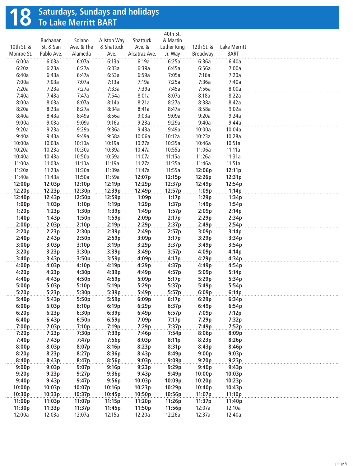# **18** Saturdays, Sundays and holidays<br> **18** To Lake Merritt BART

|            | Buchanan   | Solano     | <b>Allston Way</b> | Shattuck      | 40th St.<br>& Martin |            |              |  |
|------------|------------|------------|--------------------|---------------|----------------------|------------|--------------|--|
| 10th St. & | St. & San  | Ave. & The | & Shattuck         | Ave. &        | Luther King          | 12th St. & | Lake Merritt |  |
| Monroe St. | Pablo Ave. | Alameda    | Ave.               | Alcatraz Ave. | Jr. Way              | Broadway   | <b>BART</b>  |  |
| 6:00a      | 6:03a      | 6:07a      | 6:13a              | 6:19a         | 6:25a                | 6:36a      | 6:40a        |  |
| 6:20a      | 6:23a      | 6:27a      | 6:33a              | 6:39a         | 6:45a                | 6:56a      | 7:00a        |  |
| 6:40a      | 6:43a      | 6:47a      | 6:53a              | 6:59a         | 7:05a                | 7:16a      | 7:20a        |  |
| 7:00a      | 7:03a      | 7:07a      | 7:13a              | 7:19a         | 7:25a                | 7:36a      | 7:40a        |  |
| 7:20a      | 7:23a      | 7:27a      | 7:33a              | 7:39a         | 7:45a                | 7:56a      | 8:00a        |  |
| 7:40a      | 7:43a      | 7:47a      | 7:54a              | 8:01a         | 8:07a                | 8:18a      | 8:22a        |  |
| 8:00a      | 8:03a      | 8:07a      | 8:14a              | 8:21a         | 8:27a                | 8:38a      | 8:42a        |  |
| 8:20a      | 8:23a      | 8:27a      | 8:34a              | 8:41a         | 8:47a                | 8:58a      | 9:02a        |  |
| 8:40a      | 8:43a      | 8:49a      | 8:56a              | 9:03a         | 9:09a                | 9:20a      | 9:24a        |  |
| 9:00a      | 9:03a      | 9:09a      | 9:16a              | 9:23a         | 9:29a                | 9:40a      | 9:44a        |  |
| 9:20a      | 9:23a      | 9:29a      | 9:36a              | 9:43a         | 9:49a                | 10:00a     | 10:04a       |  |
| 9:40a      | 9:43a      | 9:49a      | 9:58a              | 10:06a        | 10:12a               | 10:23a     | 10:28a       |  |
| 10:00a     | 10:03a     | 10:10a     | 10:19a             | 10:27a        | 10:35a               | 10:46a     | 10:51a       |  |
| 10:20a     | 10:23a     | 10:30a     | 10:39a             | 10:47a        | 10:55a               | 11:06a     | 11:11a       |  |
| 10:40a     | 10:43a     | 10:50a     | 10:59a             | 11:07a        | 11:15a               | 11:26a     | 11:31a       |  |
| 11:00a     | 11:03a     | 11:10a     | 11:19a             | 11:27a        | 11:35a               | 11:46a     | 11:51a       |  |
| 11:20a     | 11:23a     | 11:30a     | 11:39a             | 11:47a        | 11:55a               | 12:06p     | 12:11p       |  |
| 11:40a     | 11:43a     | 11:50a     | 11:59a             | 12:07p        | 12:15p               | 12:26p     | 12:31p       |  |
| 12:00p     | 12:03p     | 12:10p     | 12:19p             | 12:29p        | 12:37p               | 12:49p     | 12:54p       |  |
| 12:20p     | 12:23p     | 12:30p     | 12:39p             | 12:49p        | 12:57p               | 1:09p      | 1:14p        |  |
| 12:40p     | 12:43p     | 12:50p     | 12:59p             | 1:09p         | 1:17p                | 1:29p      | 1:34p        |  |
| 1:00p      | 1:03p      | 1:10p      | 1:19p              | 1:29p         | 1:37p                | 1:49p      | 1:54p        |  |
| 1:20p      | 1:23p      | 1:30p      | 1:39p              | 1:49p         | 1:57p                | 2:09p      | 2:14p        |  |
| 1:40p      | 1:43p      | 1:50p      | 1:59p              | 2:09p         | 2:17p                | 2:29p      | 2:34p        |  |
| 2:00p      | 2:03p      | 2:10p      | 2:19p              | 2:29p         | 2:37p                | 2:49p      | 2:54p        |  |
| 2:20p      | 2:23p      | 2:30p      | 2:39p              | 2:49p         | 2:57p                | 3:09p      | 3:14p        |  |
| 2:40p      | 2:43p      | 2:50p      | 2:59p              | 3:09p         | 3:17p                | 3:29p      | 3:34p        |  |
| 3:00p      | 3:03p      | 3:10p      | 3:19p              | 3:29p         | 3:37p                | 3:49p      | 3:54p        |  |
| 3:20p      | 3:23p      | 3:30p      | 3:39p              | 3:49p         | 3:57p                | 4:09p      | 4:14p        |  |
| 3:40p      | 3:43p      | 3:50p      | 3:59p              | 4:09p         | 4:17p                | 4:29p      | 4:34p        |  |
| 4:00p      | 4:03p      | 4:10p      | 4:19p              | 4:29p         | 4:37p                | 4:49p      | 4:54p        |  |
| 4:20p      | 4:23p      | 4:30p      | 4:39p              | 4:49p         | 4:57p                | 5:09p      | 5:14p        |  |
| 4:40p      | 4:43p      | 4:50p      | 4:59p              | 5:09p         | 5:17p                | 5:29p      | 5:34p        |  |
| 5:00p      | 5:03p      | 5:10p      | 5:19p              | 5:29p         | 5:37p                | 5:49p      | 5:54p        |  |
| 5:20p      | 5:23p      | 5:30p      | 5:39p              | 5:49p         | 5:57p                | 6:09p      | 6:14p        |  |
| 5:40p      | 5:43p      | 5:50p      | 5:59p              | 6:09p         | 6:17p                | 6:29p      | 6:34p        |  |
| 6:00p      | 6:03p      | 6:10p      | 6:19p              | 6:29p         | 6:37p                | 6:49p      | 6:54p        |  |
| 6:20p      | 6:23p      | 6:30p      | 6:39p              | 6:49p         | 6:57p                | 7:09p      | 7:12p        |  |
| 6:40p      | 6:43p      | 6:50p      | 6:59p              | 7:09p         | 7:17p                | 7:29p      | 7:32p        |  |
| 7:00p      | 7:03p      | 7:10p      | 7:19p              | 7:29p         | 7:37p                | 7:49p      | 7:52p        |  |
| 7:20p      | 7:23p      | 7:30p      | 7:39p              | 7:46p         | 7:54p                | 8:06p      | 8:09p        |  |
| 7:40p      | 7:43p      | 7:47p      | 7:56p              | 8:03p         | 8:11p                | 8:23p      | 8:26p        |  |
| 8:00p      | 8:03p      | 8:07p      | 8:16p              | 8:23p         | 8:31p                | 8:43p      | 8:46p        |  |
| 8:20p      | 8:23p      | 8:27p      | 8:36p              | 8:43p         | 8:49p                | 9:00p      | 9:03p        |  |
| 8:40p      | 8:43p      | 8:47p      | 8:56p              | 9:03p         | 9:09p                | 9:20p      | 9:23p        |  |
| 9:00p      | 9:03p      | 9:07p      | 9:16p              | 9:23p         | 9:29p                | 9:40p      | 9:43p        |  |
| 9:20p      | 9:23p      | 9:27p      | 9:36p              | 9:43p         | 9:49p                | 10:00p     | 10:03p       |  |
| 9:40p      | 9:43p      | 9:47p      | 9:56p              | 10:03p        | 10:09p               | 10:20p     | 10:23p       |  |
| 10:00p     | 10:03p     | 10:07p     | 10:16p             | 10:23p        | 10:29p               | 10:40p     | 10:43p       |  |
| 10:30p     | 10:33p     | 10:37p     | 10:45p             | 10:50p        | 10:56p               | 11:07p     | 11:10p       |  |
| 11:00p     | 11:03p     | 11:07p     | 11:15p             | 11:20p        | 11:26p               | 11:37p     | 11:40p       |  |
| 11:30p     | 11:33p     | 11:37p     | 11:45p             | 11:50p        | 11:56p               | 12:07a     | 12:10a       |  |
| 12:00a     | 12:03a     | 12:07a     | 12:15a             | 12:20a        | 12:26a               | 12:37a     | 12:40a       |  |